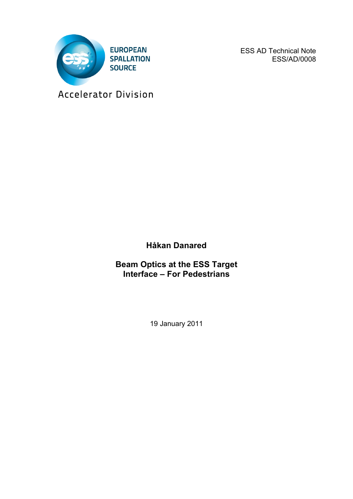

ESS AD Technical Note ESS/AD/0008

Accelerator Division

**Håkan Danared**

**Beam Optics at the ESS Target Interface – For Pedestrians**

19 January 2011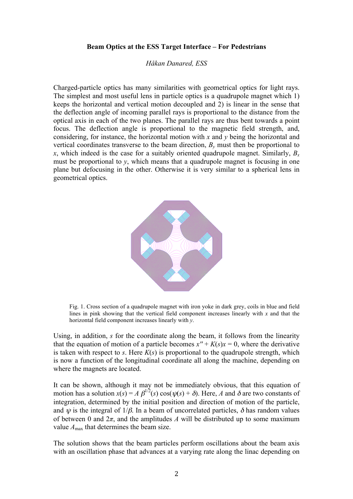## **Beam Optics at the ESS Target Interface – For Pedestrians**

*Håkan Danared, ESS*

Charged-particle optics has many similarities with geometrical optics for light rays. The simplest and most useful lens in particle optics is a quadrupole magnet which 1) keeps the horizontal and vertical motion decoupled and 2) is linear in the sense that the deflection angle of incoming parallel rays is proportional to the distance from the optical axis in each of the two planes. The parallel rays are thus bent towards a point focus. The deflection angle is proportional to the magnetic field strength, and, considering, for instance, the horizontal motion with *x* and *y* being the horizontal and vertical coordinates transverse to the beam direction,  $B_y$  must then be proportional to *x*, which indeed is the case for a suitably oriented quadrupole magnet. Similarly,  $B_x$ must be proportional to  $y$ , which means that a quadrupole magnet is focusing in one plane but defocusing in the other. Otherwise it is very similar to a spherical lens in geometrical optics.



Fig. 1. Cross section of a quadrupole magnet with iron yoke in dark grey, coils in blue and field lines in pink showing that the vertical field component increases linearly with *x* and that the horizontal field component increases linearly with *y*.

Using, in addition, *s* for the coordinate along the beam, it follows from the linearity that the equation of motion of a particle becomes  $x'' + K(s)x = 0$ , where the derivative is taken with respect to  $s$ . Here  $K(s)$  is proportional to the quadrupole strength, which is now a function of the longitudinal coordinate all along the machine, depending on where the magnets are located.

It can be shown, although it may not be immediately obvious, that this equation of motion has a solution  $x(s) = A \beta^{1/2}(s) \cos(\psi(s) + \delta)$ . Here, *A* and  $\delta$  are two constants of integration, determined by the initial position and direction of motion of the particle, and  $\psi$  is the integral of 1/ $\beta$ . In a beam of uncorrelated particles,  $\delta$  has random values of between 0 and  $2\pi$ , and the amplitudes A will be distributed up to some maximum value  $A_{\text{max}}$  that determines the beam size.

The solution shows that the beam particles perform oscillations about the beam axis with an oscillation phase that advances at a varying rate along the linac depending on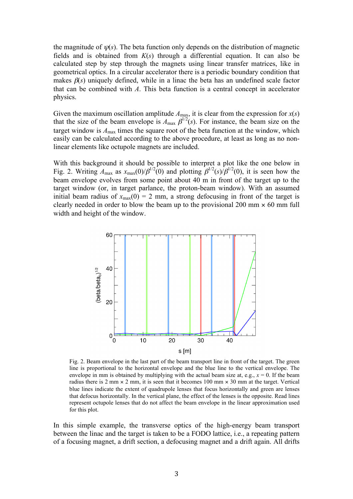the magnitude of  $\psi(s)$ . The beta function only depends on the distribution of magnetic fields and is obtained from *K*(*s*) through a differential equation. It can also be calculated step by step through the magnets using linear transfer matrices, like in geometrical optics. In a circular accelerator there is a periodic boundary condition that makes  $\beta(s)$  uniquely defined, while in a linac the beta has an undefined scale factor that can be combined with *A*. This beta function is a central concept in accelerator physics.

Given the maximum oscillation amplitude  $A_{\text{max}}$ , it is clear from the expression for  $x(s)$ that the size of the beam envelope is  $A_{\text{max}} \beta^{1/2}(s)$ . For instance, the beam size on the target window is  $A_{\text{max}}$  times the square root of the beta function at the window, which easily can be calculated according to the above procedure, at least as long as no nonlinear elements like octupole magnets are included.

With this background it should be possible to interpret a plot like the one below in Fig. 2. Writing  $A_{\text{max}}$  as  $x_{\text{max}}(0)/\beta^{1/2}(0)$  and plotting  $\beta^{1/2}(s)/\beta^{1/2}(0)$ , it is seen how the beam envelope evolves from some point about 40 m in front of the target up to the target window (or, in target parlance, the proton-beam window). With an assumed initial beam radius of  $x_{\text{max}}(0) = 2$  mm, a strong defocusing in front of the target is clearly needed in order to blow the beam up to the provisional 200 mm  $\times$  60 mm full width and height of the window.



Fig. 2. Beam envelope in the last part of the beam transport line in front of the target. The green line is proportional to the horizontal envelope and the blue line to the vertical envelope. The envelope in mm is obtained by multiplying with the actual beam size at, e.g.,  $x = 0$ . If the beam radius there is 2 mm  $\times$  2 mm, it is seen that it becomes 100 mm  $\times$  30 mm at the target. Vertical blue lines indicate the extent of quadrupole lenses that focus horizontally and green are lenses that defocus horizontally. In the vertical plane, the effect of the lenses is the opposite. Read lines represent octupole lenses that do not affect the beam envelope in the linear approximation used for this plot.

In this simple example, the transverse optics of the high-energy beam transport between the linac and the target is taken to be a FODO lattice, i.e., a repeating pattern of a focusing magnet, a drift section, a defocusing magnet and a drift again. All drifts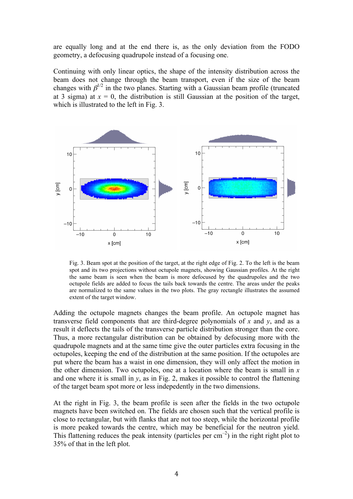are equally long and at the end there is, as the only deviation from the FODO geometry, a defocusing quadrupole instead of a focusing one.

Continuing with only linear optics, the shape of the intensity distribution across the beam does not change through the beam transport, even if the size of the beam changes with  $\beta^{1/2}$  in the two planes. Starting with a Gaussian beam profile (truncated at 3 sigma) at  $x = 0$ , the distribution is still Gaussian at the position of the target, which is illustrated to the left in Fig. 3.



Fig. 3. Beam spot at the position of the target, at the right edge of Fig. 2. To the left is the beam spot and its two projections without octupole magnets, showing Gaussian profiles. At the right the same beam is seen when the beam is more defocused by the quadrupoles and the two octupole fields are added to focus the tails back towards the centre. The areas under the peaks are normalized to the same values in the two plots. The gray rectangle illustrates the assumed extent of the target window.

Adding the octupole magnets changes the beam profile. An octupole magnet has transverse field components that are third-degree polynomials of *x* and *y*, and as a result it deflects the tails of the transverse particle distribution stronger than the core. Thus, a more rectangular distribution can be obtained by defocusing more with the quadrupole magnets and at the same time give the outer particles extra focusing in the octupoles, keeping the end of the distribution at the same position. If the octupoles are put where the beam has a waist in one dimension, they will only affect the motion in the other dimension. Two octupoles, one at a location where the beam is small in *x* and one where it is small in *y*, as in Fig. 2, makes it possible to control the flattening of the target beam spot more or less indepedently in the two dimensions.

At the right in Fig. 3, the beam profile is seen after the fields in the two octupole magnets have been switched on. The fields are chosen such that the vertical profile is close to rectangular, but with flanks that are not too steep, while the horizontal profile is more peaked towards the centre, which may be beneficial for the neutron yield. This flattening reduces the peak intensity (particles per  $cm^{-2}$ ) in the right right plot to 35% of that in the left plot.